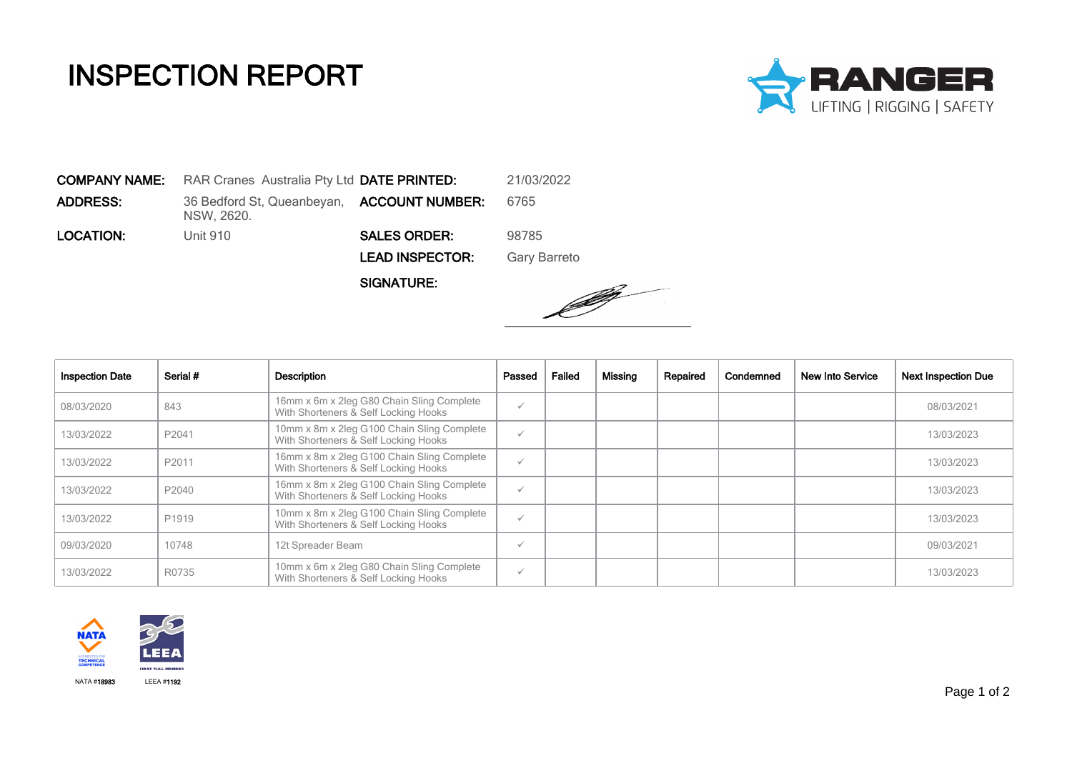## INSPECTION REPORT



COMPANY NAME: RAR Cranes Australia Pty Ltd DATE PRINTED: 21/03/2022 **ADDRESS:** 36 Bedford St, Queanbeyan, **ACCOUNT NUMBER:** 6765 NSW, 2620. LOCATION: Unit 910 SALES ORDER: 98785 LEAD INSPECTOR: Gary Barreto

SIGNATURE:



| <b>Inspection Date</b> | Serial # | Description                                                                        | Passed       | Failed | Missing | Repaired | Condemned | <b>New Into Service</b> | <b>Next Inspection Due</b> |
|------------------------|----------|------------------------------------------------------------------------------------|--------------|--------|---------|----------|-----------|-------------------------|----------------------------|
| 08/03/2020             | 843      | 16mm x 6m x 2leg G80 Chain Sling Complete<br>With Shorteners & Self Locking Hooks  | $\checkmark$ |        |         |          |           |                         | 08/03/2021                 |
| 13/03/2022             | P2041    | 10mm x 8m x 2leg G100 Chain Sling Complete<br>With Shorteners & Self Locking Hooks | $\checkmark$ |        |         |          |           |                         | 13/03/2023                 |
| 13/03/2022             | P2011    | 16mm x 8m x 2leg G100 Chain Sling Complete<br>With Shorteners & Self Locking Hooks | $\checkmark$ |        |         |          |           |                         | 13/03/2023                 |
| 13/03/2022             | P2040    | 16mm x 8m x 2leg G100 Chain Sling Complete<br>With Shorteners & Self Locking Hooks | $\checkmark$ |        |         |          |           |                         | 13/03/2023                 |
| 13/03/2022             | P1919    | 10mm x 8m x 2leg G100 Chain Sling Complete<br>With Shorteners & Self Locking Hooks | $\checkmark$ |        |         |          |           |                         | 13/03/2023                 |
| 09/03/2020             | 10748    | 12t Spreader Beam                                                                  | $\checkmark$ |        |         |          |           |                         | 09/03/2021                 |
| 13/03/2022             | R0735    | 10mm x 6m x 2leg G80 Chain Sling Complete<br>With Shorteners & Self Locking Hooks  | $\checkmark$ |        |         |          |           |                         | 13/03/2023                 |